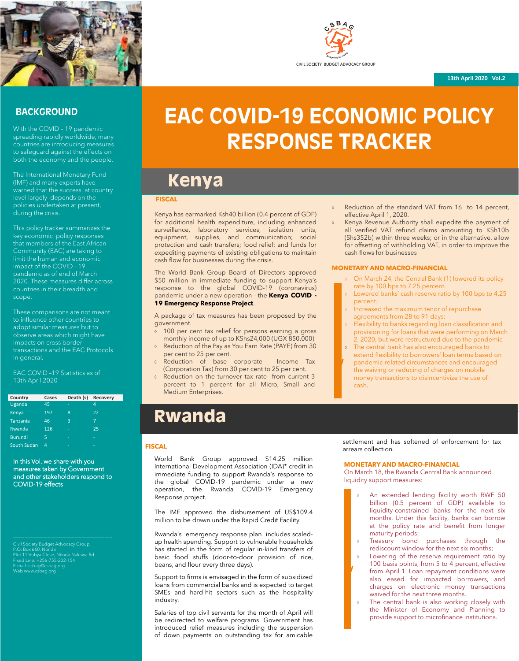

# CIVIL SOCIETY BUDGET ADVOCACY GROUP

#### **FISCAL**

Kenya has earmarked Ksh40 billion (0.4 percent of GDP) for additional health expenditure, including enhanced surveillance, laboratory services, isolation units, equipment, supplies, and communication; social protection and cash transfers; food relief; and funds for expediting payments of existing obligations to maintain cash flow for businesses during the crisis.

The World Bank Group Board of Directors approved \$50 million in immediate funding to support Kenya's response to the global COVID-19 (coronavirus) pandemic under a new operation - the **Kenya COVID - 19 Emergency Response Project**.

A package of tax measures has been proposed by the government.

- 100 per cent tax relief for persons earning a gross monthly income of up to KShs24,000 (UGX 850,000)
- Reduction of the Pay as You Earn Rate (PAYE) from 30 per cent to 25 per cent.
- Reduction of base corporate Income Tax (Corporation Tax) from 30 per cent to 25 per cent.
- Reduction on the turnover tax rate from current 3 percent to 1 percent for all Micro, Small and Medium Enterprises.
- Reduction of the standard VAT from 16 to 14 percent, effective April 1, 2020.
- Kenya Revenue Authority shall expedite the payment of all verified VAT refund claims amounting to KSh10b (Shs352b) within three weeks; or in the alternative, allow for offsetting of withholding VAT, in order to improve the cash flows for businesses

#### **MONETARY AND MACRO-FINANCIAL**

Civil Society Budget Advocacy Group P.O. Box 660, Ntinda Plot 11 Vubya Close, Ntinda Nakawa Rd Fixed Line: +256-755-202-154 E-mail: csbag@csbag.org Web www.csbag.org

## **EAC COVID-19 ECONOMIC POLICY RESPONSE TRACKER**

#### **BACKGROUND**

With the COVID – 19 pandemic spreading rapidly worldwide, many countries are introducing measures to safeguard against the effects on both the economy and the people.

The International Monetary Fund (IMF) and many experts have warned that the success at country level largely depends on the policies undertaken at present, during the crisis.

This policy tracker summarizes the key economic policy responses that members of the East African Community (EAC) are taking to limit the human and economic impact of the COVID - 19 pandemic as of end of March 2020. These measures differ across countries in their breadth and scope.

These comparisons are not meant to influence other countries to adopt similar measures but to observe areas which might have impacts on cross border transactions and the EAC Protocols in general.

EAC COVID –19 Statistics as of 13th April 2020

In this Vol. we share with you measures taken by Government and other stakeholders respond to COVID-19 effects

#### **FISCAL**

- On March 24, the Central Bank (1) lowered its policy rate by 100 bps to 7.25 percent.
- Lowered banks' cash reserve ratio by 100 bps to 4.25 percent.
- Increased the maximum tenor of repurchase agreements from 28 to 91 days:
- Flexibility to banks regarding loan classification and provisioning for loans that were performing on March 2, 2020, but were restructured due to the pandemic
- The central bank has also encouraged banks to extend flexibility to borrowers' loan terms based on pandemic-related circumstances and encouraged the waiving or reducing of charges on mobile money transactions to disincentivize the use of cash. **W**

World Bank Group approved \$14.25 million International Development Association (IDA)\* credit in immediate funding to support Rwanda's response to the global COVID-19 pandemic under a new operation, the Rwanda COVID-19 Emergency Response project.

The IMF approved the disbursement of US\$109.4 million to be drawn under the Rapid Credit Facility.

Rwanda's emergency response plan includes scaledup health spending. Support to vulnerable households has started in the form of regular in-kind transfers of basic food stuffs (door-to-door provision of rice, beans, and flour every three days).

Support to firms is envisaged in the form of subsidized loans from commercial banks and is expected to target SMEs and hard-hit sectors such as the hospitality industry.

Salaries of top civil servants for the month of April will be redirected to welfare programs. Government has introduced relief measures including the suspension of down payments on outstanding tax for amicable

settlement and has softened of enforcement for tax arrears collection.

#### **MONETARY AND MACRO-FINANCIAL**

On March 18, the Rwanda Central Bank announced liquidity support measures:

- An extended lending facility worth RWF 50 billion (0.5 percent of GDP) available to liquidity-constrained banks for the next six months. Under this facility, banks can borrow at the policy rate and benefit from longer maturity periods;
- o Treasury bond purchases through the rediscount window for the next six months;
- Lowering of the reserve requirement ratio by 100 basis points, from 5 to 4 percent, effective from April 1. Loan repayment conditions were also eased for impacted borrowers, and charges on electronic money transactions waived for the next three months.
- **The central bank is also working closely with** the Minister of Economy and Planning to provide support to microfinance institutions.

### **Rwanda**

## **Kenya**

| Country | <b>Cases</b> | Death (s) Recovery |  |
|---------|--------------|--------------------|--|
| Uganda  |              |                    |  |

| Kenya           | 197 | 8 | 22 |
|-----------------|-----|---|----|
| <b>Tanzania</b> | 46  | 3 | 7  |
| Rwanda          | 126 | - | 25 |
| <b>Burundi</b>  | 5   | - | -  |
| South Sudan     | Δ   | - | -  |

**e** 

**W**